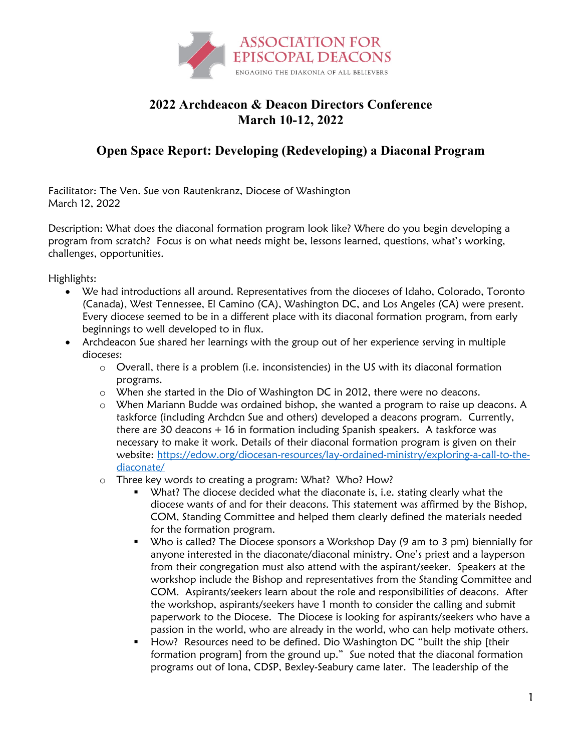

## **2022 Archdeacon & Deacon Directors Conference March 10-12, 2022**

## **Open Space Report: Developing (Redeveloping) a Diaconal Program**

Facilitator: The Ven. Sue von Rautenkranz, Diocese of Washington March 12, 2022

Description: What does the diaconal formation program look like? Where do you begin developing a program from scratch? Focus is on what needs might be, lessons learned, questions, what's working, challenges, opportunities.

Highlights:

- We had introductions all around. Representatives from the dioceses of Idaho, Colorado, Toronto (Canada), West Tennessee, El Camino (CA), Washington DC, and Los Angeles (CA) were present. Every diocese seemed to be in a different place with its diaconal formation program, from early beginnings to well developed to in flux.
- Archdeacon Sue shared her learnings with the group out of her experience serving in multiple dioceses:
	- o Overall, there is a problem (i.e. inconsistencies) in the US with its diaconal formation programs.
	- o When she started in the Dio of Washington DC in 2012, there were no deacons.
	- o When Mariann Budde was ordained bishop, she wanted a program to raise up deacons. A taskforce (including Archdcn Sue and others) developed a deacons program. Currently, there are 30 deacons + 16 in formation including Spanish speakers. A taskforce was necessary to make it work. Details of their diaconal formation program is given on their website: https://edow.org/diocesan-resources/lay-ordained-ministry/exploring-a-call-to-thediaconate/
	- o Three key words to creating a program: What? Who? How?
		- What? The diocese decided what the diaconate is, i.e. stating clearly what the diocese wants of and for their deacons. This statement was affirmed by the Bishop, COM, Standing Committee and helped them clearly defined the materials needed for the formation program.
		- Who is called? The Diocese sponsors a Workshop Day (9 am to 3 pm) biennially for anyone interested in the diaconate/diaconal ministry. One's priest and a layperson from their congregation must also attend with the aspirant/seeker. Speakers at the workshop include the Bishop and representatives from the Standing Committee and COM. Aspirants/seekers learn about the role and responsibilities of deacons. After the workshop, aspirants/seekers have 1 month to consider the calling and submit paperwork to the Diocese. The Diocese is looking for aspirants/seekers who have a passion in the world, who are already in the world, who can help motivate others.
		- **•** How? Resources need to be defined. Dio Washington DC "built the ship [their formation program] from the ground up." Sue noted that the diaconal formation programs out of Iona, CDSP, Bexley-Seabury came later. The leadership of the